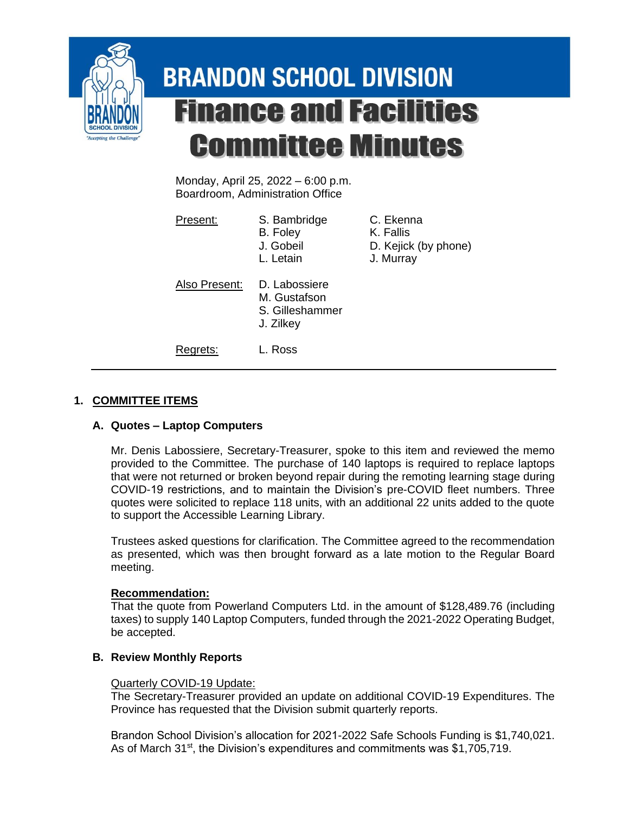

# **BRANDON SCHOOL DIVISION Finance and Facilities Committee Minutes**

Monday, April 25, 2022 – 6:00 p.m. Boardroom, Administration Office

| Present:      | S. Bambridge<br>B. Foley<br>J. Gobeil<br>L. Letain            | C. Ekenna<br>K. Fallis<br>D. Kejick (by phone)<br>J. Murray |
|---------------|---------------------------------------------------------------|-------------------------------------------------------------|
| Also Present: | D. Labossiere<br>M. Gustafson<br>S. Gilleshammer<br>J. Zilkey |                                                             |
| Rearets:      | L. Ross                                                       |                                                             |

## **1. COMMITTEE ITEMS**

### **A. Quotes – Laptop Computers**

Mr. Denis Labossiere, Secretary-Treasurer, spoke to this item and reviewed the memo provided to the Committee. The purchase of 140 laptops is required to replace laptops that were not returned or broken beyond repair during the remoting learning stage during COVID-19 restrictions, and to maintain the Division's pre-COVID fleet numbers. Three quotes were solicited to replace 118 units, with an additional 22 units added to the quote to support the Accessible Learning Library.

Trustees asked questions for clarification. The Committee agreed to the recommendation as presented, which was then brought forward as a late motion to the Regular Board meeting.

### **Recommendation:**

That the quote from Powerland Computers Ltd. in the amount of \$128,489.76 (including taxes) to supply 140 Laptop Computers, funded through the 2021-2022 Operating Budget, be accepted.

### **B. Review Monthly Reports**

### Quarterly COVID-19 Update:

The Secretary-Treasurer provided an update on additional COVID-19 Expenditures. The Province has requested that the Division submit quarterly reports.

Brandon School Division's allocation for 2021-2022 Safe Schools Funding is \$1,740,021. As of March 31<sup>st</sup>, the Division's expenditures and commitments was \$1,705,719.